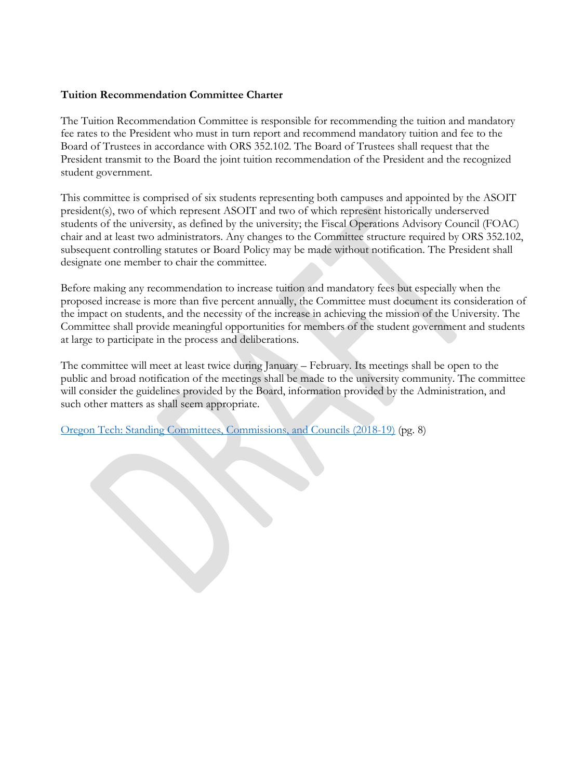#### **Tuition Recommendation Committee Charter**

The Tuition Recommendation Committee is responsible for recommending the tuition and mandatory fee rates to the President who must in turn report and recommend mandatory tuition and fee to the Board of Trustees in accordance with ORS 352.102. The Board of Trustees shall request that the President transmit to the Board the joint tuition recommendation of the President and the recognized student government.

This committee is comprised of six students representing both campuses and appointed by the ASOIT president(s), two of which represent ASOIT and two of which represent historically underserved students of the university, as defined by the university; the Fiscal Operations Advisory Council (FOAC) chair and at least two administrators. Any changes to the Committee structure required by ORS 352.102, subsequent controlling statutes or Board Policy may be made without notification. The President shall designate one member to chair the committee.

Before making any recommendation to increase tuition and mandatory fees but especially when the proposed increase is more than five percent annually, the Committee must document its consideration of the impact on students, and the necessity of the increase in achieving the mission of the University. The Committee shall provide meaningful opportunities for members of the student government and students at large to participate in the process and deliberations.

The committee will meet at least twice during January – February. Its meetings shall be open to the public and broad notification of the meetings shall be made to the university community. The committee will consider the guidelines provided by the Board, information provided by the Administration, and such other matters as shall seem appropriate.

[Oregon Tech: Standing Committees, Commissions, and Councils \(2018-19\)](https://oregontechsfcdn.azureedge.net/oregontech/docs/default-source/faculty-staff-documents/councils-commissions-committees/standing-committees/2018-19-standing-committees.pdf?sfvrsn=35d16567_10) (pg. 8)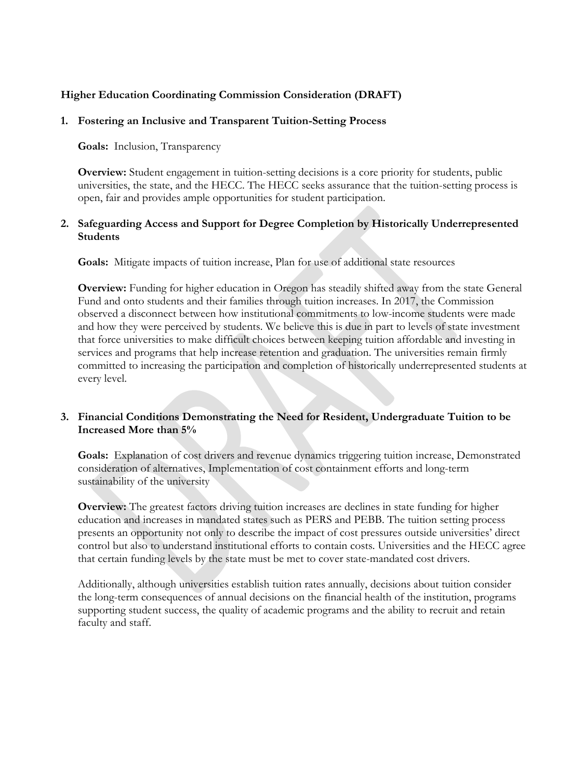### **Higher Education Coordinating Commission Consideration (DRAFT)**

#### **1. Fostering an Inclusive and Transparent Tuition-Setting Process**

**Goals:** Inclusion, Transparency

**Overview:** Student engagement in tuition-setting decisions is a core priority for students, public universities, the state, and the HECC. The HECC seeks assurance that the tuition-setting process is open, fair and provides ample opportunities for student participation.

#### **2. Safeguarding Access and Support for Degree Completion by Historically Underrepresented Students**

**Goals:** Mitigate impacts of tuition increase, Plan for use of additional state resources

**Overview:** Funding for higher education in Oregon has steadily shifted away from the state General Fund and onto students and their families through tuition increases. In 2017, the Commission observed a disconnect between how institutional commitments to low-income students were made and how they were perceived by students. We believe this is due in part to levels of state investment that force universities to make difficult choices between keeping tuition affordable and investing in services and programs that help increase retention and graduation. The universities remain firmly committed to increasing the participation and completion of historically underrepresented students at every level.

### **3. Financial Conditions Demonstrating the Need for Resident, Undergraduate Tuition to be Increased More than 5%**

**Goals:** Explanation of cost drivers and revenue dynamics triggering tuition increase, Demonstrated consideration of alternatives, Implementation of cost containment efforts and long-term sustainability of the university

**Overview:** The greatest factors driving tuition increases are declines in state funding for higher education and increases in mandated states such as PERS and PEBB. The tuition setting process presents an opportunity not only to describe the impact of cost pressures outside universities' direct control but also to understand institutional efforts to contain costs. Universities and the HECC agree that certain funding levels by the state must be met to cover state-mandated cost drivers.

Additionally, although universities establish tuition rates annually, decisions about tuition consider the long-term consequences of annual decisions on the financial health of the institution, programs supporting student success, the quality of academic programs and the ability to recruit and retain faculty and staff.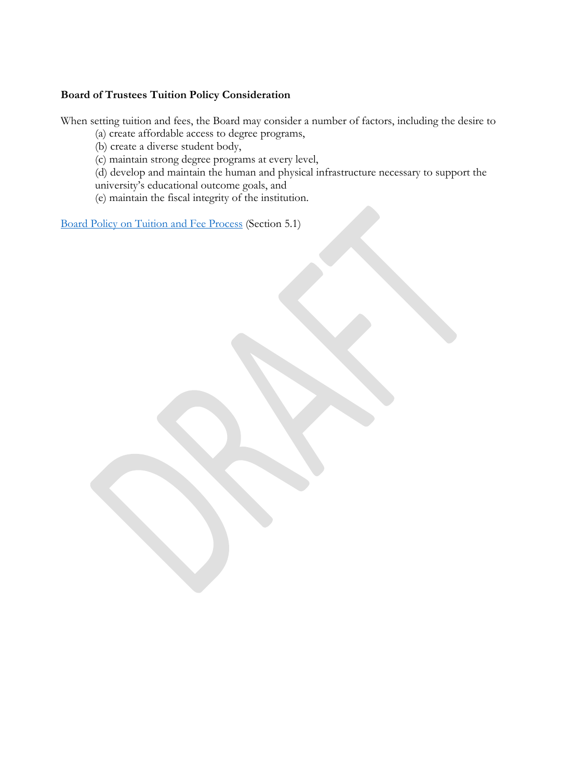#### **Board of Trustees Tuition Policy Consideration**

When setting tuition and fees, the Board may consider a number of factors, including the desire to

(a) create affordable access to degree programs,

(b) create a diverse student body,

(c) maintain strong degree programs at every level,

(d) develop and maintain the human and physical infrastructure necessary to support the university's educational outcome goals, and

(e) maintain the fiscal integrity of the institution.

[Board Policy on Tuition and Fee Process](https://oregontechsfcdn.azureedge.net/oregontech/docs/default-source/board-of-trustees-documents/2016-meetings/june/policy-amended-tuition-and-fee-process-june-30-2016.pdf?sfvrsn=cfd19660_2) (Section 5.1)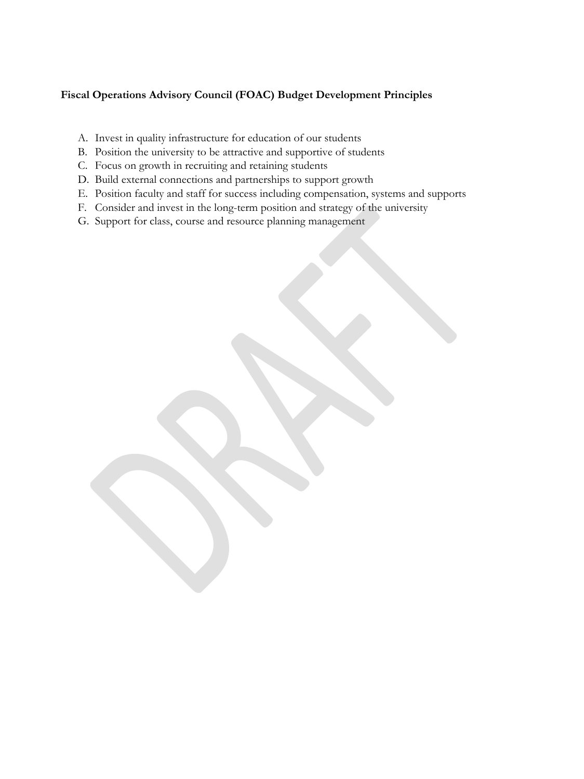# **Fiscal Operations Advisory Council (FOAC) Budget Development Principles**

- A. Invest in quality infrastructure for education of our students
- B. Position the university to be attractive and supportive of students
- C. Focus on growth in recruiting and retaining students
- D. Build external connections and partnerships to support growth
- E. Position faculty and staff for success including compensation, systems and supports
- F. Consider and invest in the long-term position and strategy of the university
- G. Support for class, course and resource planning management